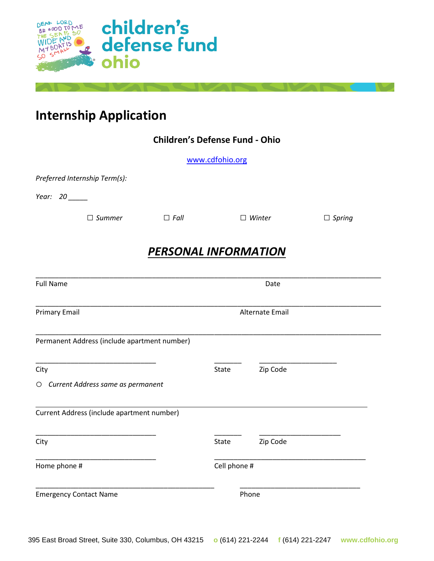

# **Internship Application**

| <b>Children's Defense Fund - Ohio</b>        |             |                 |               |               |  |  |  |
|----------------------------------------------|-------------|-----------------|---------------|---------------|--|--|--|
| www.cdfohio.org                              |             |                 |               |               |  |  |  |
| Preferred Internship Term(s):                |             |                 |               |               |  |  |  |
| Year: $20$ ______                            |             |                 |               |               |  |  |  |
| $\Box$ Summer                                | $\Box$ Fall |                 | $\Box$ Winter | $\Box$ Spring |  |  |  |
| PERSONAL INFORMATION                         |             |                 |               |               |  |  |  |
| <b>Full Name</b>                             |             | Date            |               |               |  |  |  |
| <b>Primary Email</b>                         |             | Alternate Email |               |               |  |  |  |
| Permanent Address (include apartment number) |             |                 |               |               |  |  |  |
| City                                         |             | State           | Zip Code      |               |  |  |  |
| O Current Address same as permanent          |             |                 |               |               |  |  |  |
| Current Address (include apartment number)   |             |                 |               |               |  |  |  |
| City                                         |             | State           | Zip Code      |               |  |  |  |
| Home phone #                                 |             |                 | Cell phone #  |               |  |  |  |
| <b>Emergency Contact Name</b>                |             |                 | Phone         |               |  |  |  |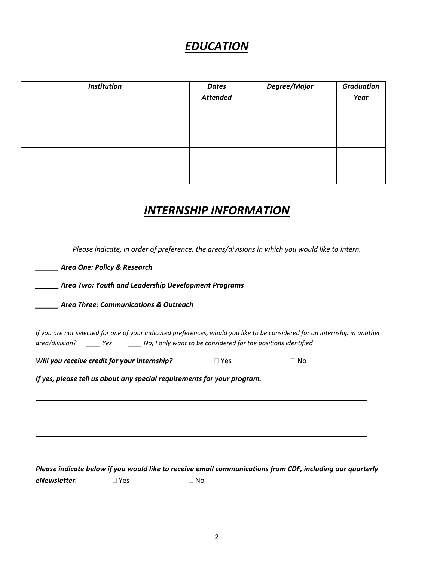## *EDUCATION*

| <b>Institution</b> | <b>Dates</b><br><b>Attended</b> | Degree/Major | <b>Graduation</b><br>Year |
|--------------------|---------------------------------|--------------|---------------------------|
|                    |                                 |              |                           |
|                    |                                 |              |                           |
|                    |                                 |              |                           |
|                    |                                 |              |                           |

### *INTERNSHIP INFORMATION*

*Please indicate, in order of preference, the areas/divisions in which you would like to intern.* 

*\_\_\_\_\_\_ Area One: Policy & Research*

*\_\_\_\_\_\_ Area Two: Youth and Leadership Development Programs*

*\_\_\_\_\_\_ Area Three: Communications & Outreach* 

*If you are not selected for one of your indicated preferences, would you like to be considered for an internship in another area/division? \_\_\_\_ Yes \_\_\_\_ No, I only want to be considered for the positions identified*

*Will you receive credit for your internship?*  $\Box$  Yes  $\Box$  No

*If yes, please tell us about any special requirements for your program.*

*Please indicate below if you would like to receive email communications from CDF, including our quarterly eNewsletter.* Yes No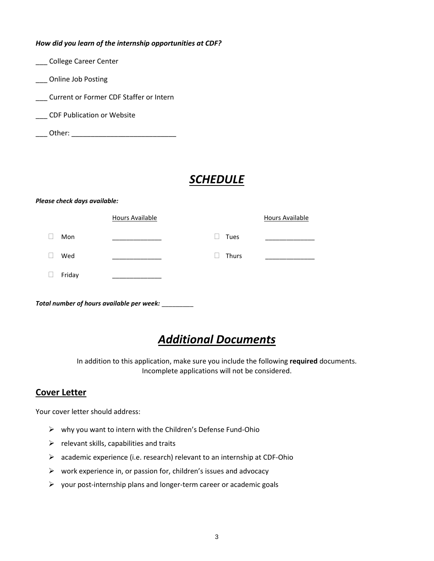#### *How did you learn of the internship opportunities at CDF?*

| College Career Center |  |  |  |
|-----------------------|--|--|--|
| Online Job Posting    |  |  |  |

\_\_\_ Current or Former CDF Staffer or Intern

- \_\_\_ CDF Publication or Website
- \_\_\_ Other: \_\_\_\_\_\_\_\_\_\_\_\_\_\_\_\_\_\_\_\_\_\_\_\_\_\_\_

## *SCHEDULE*

#### *Please check days available:*

|        | <b>Hours Available</b> |                      | <b>Hours Available</b> |
|--------|------------------------|----------------------|------------------------|
| Mon    |                        | Tues<br>$\mathbf{L}$ |                        |
| Wed    |                        | Thurs                |                        |
| Friday |                        |                      |                        |
|        |                        |                      |                        |

## *Additional Documents*

In addition to this application, make sure you include the following **required** documents. Incomplete applications will not be considered.

#### **Cover Letter**

Your cover letter should address:

- $\triangleright$  why you want to intern with the Children's Defense Fund-Ohio
- $\triangleright$  relevant skills, capabilities and traits

*Total number of hours available per week:* \_\_\_\_\_\_\_\_\_

- academic experience (i.e. research) relevant to an internship at CDF-Ohio
- $\triangleright$  work experience in, or passion for, children's issues and advocacy
- $\triangleright$  your post-internship plans and longer-term career or academic goals